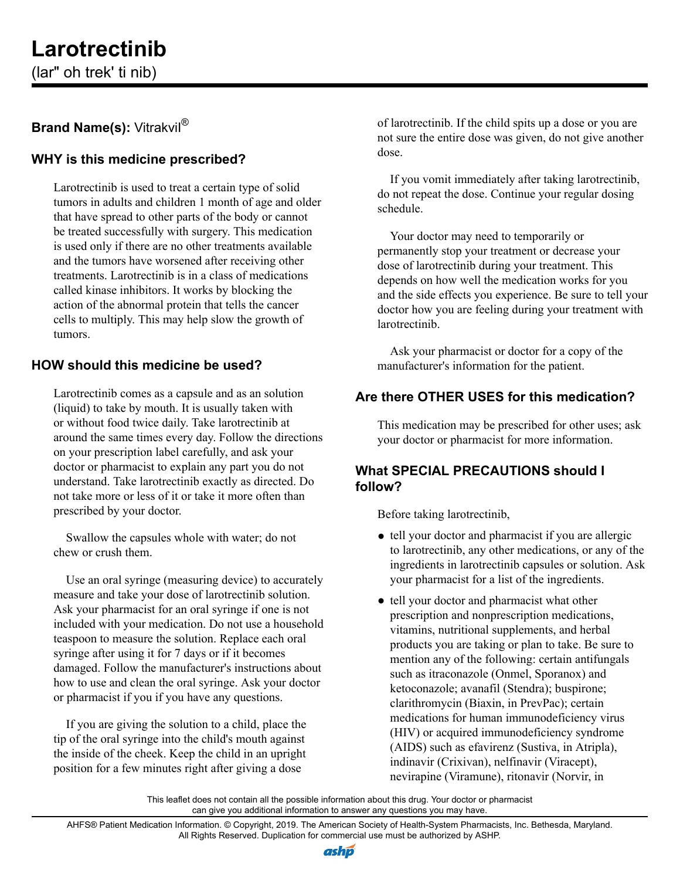# **Larotrectinib**

(lar" oh trek' ti nib)

## **Brand Name(s): Vitrakvil®**

## **WHY is this medicine prescribed?**

Larotrectinib is used to treat a certain type of solid tumors in adults and children 1 month of age and older that have spread to other parts of the body or cannot be treated successfully with surgery. This medication is used only if there are no other treatments available and the tumors have worsened after receiving other treatments. Larotrectinib is in a class of medications called kinase inhibitors. It works by blocking the action of the abnormal protein that tells the cancer cells to multiply. This may help slow the growth of tumors.

## **HOW should this medicine be used?**

Larotrectinib comes as a capsule and as an solution (liquid) to take by mouth. It is usually taken with or without food twice daily. Take larotrectinib at around the same times every day. Follow the directions on your prescription label carefully, and ask your doctor or pharmacist to explain any part you do not understand. Take larotrectinib exactly as directed. Do not take more or less of it or take it more often than prescribed by your doctor.

Swallow the capsules whole with water; do not chew or crush them.

Use an oral syringe (measuring device) to accurately measure and take your dose of larotrectinib solution. Ask your pharmacist for an oral syringe if one is not included with your medication. Do not use a household teaspoon to measure the solution. Replace each oral syringe after using it for 7 days or if it becomes damaged. Follow the manufacturer's instructions about how to use and clean the oral syringe. Ask your doctor or pharmacist if you if you have any questions.

If you are giving the solution to a child, place the tip of the oral syringe into the child's mouth against the inside of the cheek. Keep the child in an upright position for a few minutes right after giving a dose

of larotrectinib. If the child spits up a dose or you are not sure the entire dose was given, do not give another dose.

If you vomit immediately after taking larotrectinib, do not repeat the dose. Continue your regular dosing schedule.

Your doctor may need to temporarily or permanently stop your treatment or decrease your dose of larotrectinib during your treatment. This depends on how well the medication works for you and the side effects you experience. Be sure to tell your doctor how you are feeling during your treatment with larotrectinib.

Ask your pharmacist or doctor for a copy of the manufacturer's information for the patient.

## **Are there OTHER USES for this medication?**

This medication may be prescribed for other uses; ask your doctor or pharmacist for more information.

### **What SPECIAL PRECAUTIONS should I follow?**

Before taking larotrectinib,

- tell your doctor and pharmacist if you are allergic to larotrectinib, any other medications, or any of the ingredients in larotrectinib capsules or solution. Ask your pharmacist for a list of the ingredients.
- tell your doctor and pharmacist what other prescription and nonprescription medications, vitamins, nutritional supplements, and herbal products you are taking or plan to take. Be sure to mention any of the following: certain antifungals such as itraconazole (Onmel, Sporanox) and ketoconazole; avanafil (Stendra); buspirone; clarithromycin (Biaxin, in PrevPac); certain medications for human immunodeficiency virus (HIV) or acquired immunodeficiency syndrome (AIDS) such as efavirenz (Sustiva, in Atripla), indinavir (Crixivan), nelfinavir (Viracept), nevirapine (Viramune), ritonavir (Norvir, in

This leaflet does not contain all the possible information about this drug. Your doctor or pharmacist can give you additional information to answer any questions you may have.

AHFS® Patient Medication Information. © Copyright, 2019. The American Society of Health-System Pharmacists, Inc. Bethesda, Maryland. All Rights Reserved. Duplication for commercial use must be authorized by ASHP.

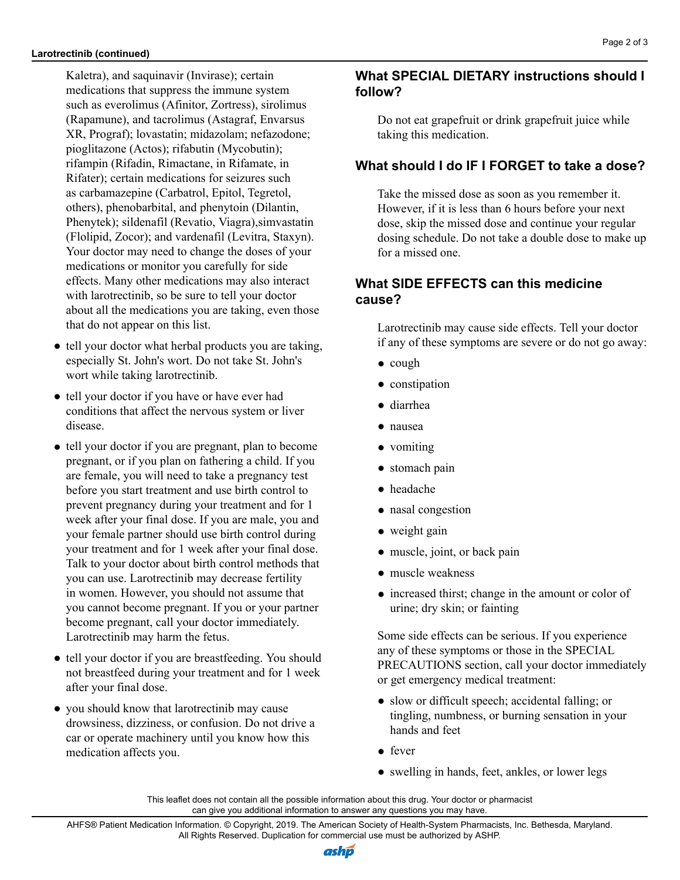Kaletra), and saquinavir (Invirase); certain medications that suppress the immune system

pioglitazone (Actos); rifabutin (Mycobutin); rifampin (Rifadin, Rimactane, in Rifamate, in Rifater); certain medications for seizures such as carbamazepine (Carbatrol, Epitol, Tegretol, others), phenobarbital, and phenytoin (Dilantin, Phenytek); sildenafil (Revatio, Viagra),simvastatin (Flolipid, Zocor); and vardenafil (Levitra, Staxyn). Your doctor may need to change the doses of your medications or monitor you carefully for side effects. Many other medications may also interact with larotrectinib, so be sure to tell your doctor about all the medications you are taking, even those

• tell your doctor what herbal products you are taking, especially St. John's wort. Do not take St. John's

● tell your doctor if you are pregnant, plan to become pregnant, or if you plan on fathering a child. If you are female, you will need to take a pregnancy test before you start treatment and use birth control to prevent pregnancy during your treatment and for 1 week after your final dose. If you are male, you and your female partner should use birth control during your treatment and for 1 week after your final dose. Talk to your doctor about birth control methods that you can use. Larotrectinib may decrease fertility in women. However, you should not assume that you cannot become pregnant. If you or your partner become pregnant, call your doctor immediately.

● tell your doctor if you are breastfeeding. You should not breastfeed during your treatment and for 1 week

drowsiness, dizziness, or confusion. Do not drive a car or operate machinery until you know how this

● you should know that larotrectinib may cause

● tell your doctor if you have or have ever had conditions that affect the nervous system or liver

that do not appear on this list.

wort while taking larotrectinib.

Larotrectinib may harm the fetus.

after your final dose.

medication affects you.

disease.

such as everolimus (Afinitor, Zortress), sirolimus (Rapamune), and tacrolimus (Astagraf, Envarsus XR, Prograf); lovastatin; midazolam; nefazodone; **What SPECIAL DIETARY instructions should I follow?** Do not eat grapefruit or drink grapefruit juice while taking this medication.

#### **What should I do IF I FORGET to take a dose?**

Take the missed dose as soon as you remember it. However, if it is less than 6 hours before your next dose, skip the missed dose and continue your regular dosing schedule. Do not take a double dose to make up for a missed one.

#### **What SIDE EFFECTS can this medicine cause?**

Larotrectinib may cause side effects. Tell your doctor if any of these symptoms are severe or do not go away:

- cough
- constipation
- diarrhea
- nausea
- vomiting
- stomach pain
- headache
- nasal congestion
- weight gain
- muscle, joint, or back pain
- muscle weakness
- increased thirst; change in the amount or color of urine; dry skin; or fainting

Some side effects can be serious. If you experience any of these symptoms or those in the SPECIAL PRECAUTIONS section, call your doctor immediately or get emergency medical treatment:

- slow or difficult speech; accidental falling; or tingling, numbness, or burning sensation in your hands and feet
- fever
- swelling in hands, feet, ankles, or lower legs

This leaflet does not contain all the possible information about this drug. Your doctor or pharmacist can give you additional information to answer any questions you may have.

AHFS® Patient Medication Information. © Copyright, 2019. The American Society of Health-System Pharmacists, Inc. Bethesda, Maryland. All Rights Reserved. Duplication for commercial use must be authorized by ASHP.